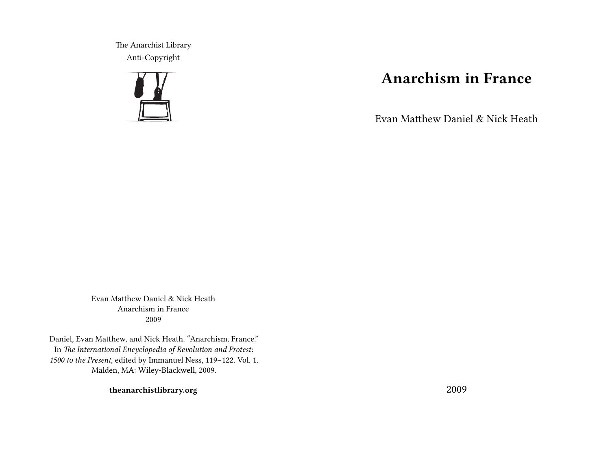The Anarchist Library Anti-Copyright



# **Anarchism in France**

Evan Matthew Daniel & Nick Heath

Evan Matthew Daniel & Nick Heath Anarchism in France 2009

Daniel, Evan Matthew, and Nick Heath. "Anarchism, France." In *The International Encyclopedia of Revolution and Protest*: *1500 to the Present*, edited by Immanuel Ness, 119–122. Vol. 1. Malden, MA: Wiley-Blackwell, 2009.

**theanarchistlibrary.org**

2009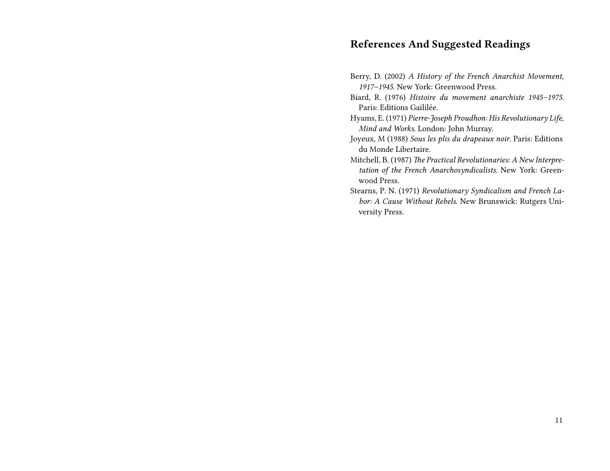### **References And Suggested Readings**

- Berry, D. (2002) *A History of the French Anarchist Movement, 1917–1945*. New York: Greenwood Press.
- Biard, R. (1976) *Histoire du movement anarchiste 1945–1975*. Paris: Editions Gaililée.
- Hyams, E. (1971) *Pierre-Joseph Proudhon: His Revolutionary Life, Mind and Works*. London: John Murray.
- Joyeux, M (1988) *Sous les plis du drapeaux noir*. Paris: Editions du Monde Libertaire.
- Mitchell, B. (1987) *The Practical Revolutionaries: A New Interpretation of the French Anarchosyndicalists*. New York: Greenwood Press.
- Stearns, P. N. (1971) *Revolutionary Syndicalism and French Labor: A Cause Without Rebels*. New Brunswick: Rutgers University Press.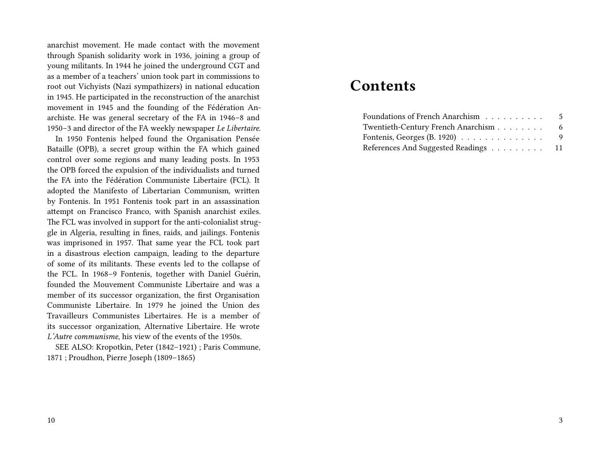anarchist movement. He made contact with the movement through Spanish solidarity work in 1936, joining a group of young militants. In 1944 he joined the underground CGT and as a member of a teachers' union took part in commissions to root out Vichyists (Nazi sympathizers) in national education in 1945. He participated in the reconstruction of the anarchist movement in 1945 and the founding of the Fédération Anarchiste. He was general secretary of the FA in 1946–8 and 1950–3 and director of the FA weekly newspaper *Le Libertaire*.

In 1950 Fontenis helped found the Organisation Pensée Bataille (OPB), a secret group within the FA which gained control over some regions and many leading posts. In 1953 the OPB forced the expulsion of the individualists and turned the FA into the Fédération Communiste Libertaire (FCL). It adopted the Manifesto of Libertarian Communism, written by Fontenis. In 1951 Fontenis took part in an assassination attempt on Francisco Franco, with Spanish anarchist exiles. The FCL was involved in support for the anti-colonialist struggle in Algeria, resulting in fines, raids, and jailings. Fontenis was imprisoned in 1957. That same year the FCL took part in a disastrous election campaign, leading to the departure of some of its militants. These events led to the collapse of the FCL. In 1968–9 Fontenis, together with Daniel Guérin, founded the Mouvement Communiste Libertaire and was a member of its successor organization, the first Organisation Communiste Libertaire. In 1979 he joined the Union des Travailleurs Communistes Libertaires. He is a member of its successor organization, Alternative Libertaire. He wrote *L'Autre communisme*, his view of the events of the 1950s.

SEE ALSO: Kropotkin, Peter (1842–1921) ; Paris Commune, 1871 ; Proudhon, Pierre Joseph (1809–1865)

## **Contents**

| Foundations of French Anarchism      | - 5 |
|--------------------------------------|-----|
| Twentieth-Century French Anarchism   | 6   |
|                                      | -9  |
| References And Suggested Readings 11 |     |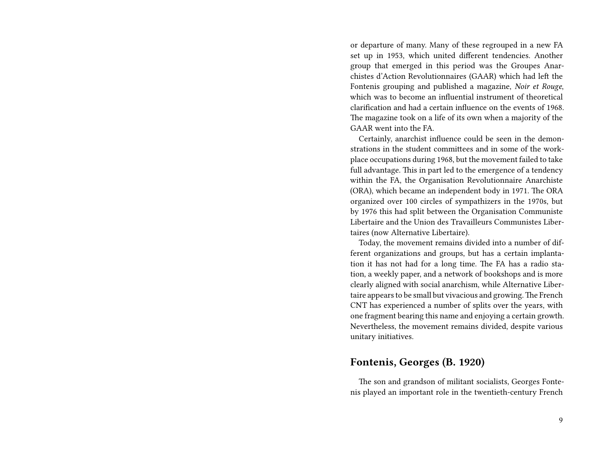or departure of many. Many of these regrouped in a new FA set up in 1953, which united different tendencies. Another group that emerged in this period was the Groupes Anarchistes d'Action Revolutionnaires (GAAR) which had left the Fontenis grouping and published a magazine, *Noir et Rouge*, which was to become an influential instrument of theoretical clarification and had a certain influence on the events of 1968. The magazine took on a life of its own when a majority of the GAAR went into the FA.

Certainly, anarchist influence could be seen in the demonstrations in the student committees and in some of the workplace occupations during 1968, but the movement failed to take full advantage. This in part led to the emergence of a tendency within the FA, the Organisation Revolutionnaire Anarchiste (ORA), which became an independent body in 1971. The ORA organized over 100 circles of sympathizers in the 1970s, but by 1976 this had split between the Organisation Communiste Libertaire and the Union des Travailleurs Communistes Libertaires (now Alternative Libertaire).

Today, the movement remains divided into a number of different organizations and groups, but has a certain implantation it has not had for a long time. The FA has a radio station, a weekly paper, and a network of bookshops and is more clearly aligned with social anarchism, while Alternative Libertaire appears to be small but vivacious and growing.The French CNT has experienced a number of splits over the years, with one fragment bearing this name and enjoying a certain growth. Nevertheless, the movement remains divided, despite various unitary initiatives.

#### **Fontenis, Georges (B. 1920)**

The son and grandson of militant socialists, Georges Fontenis played an important role in the twentieth-century French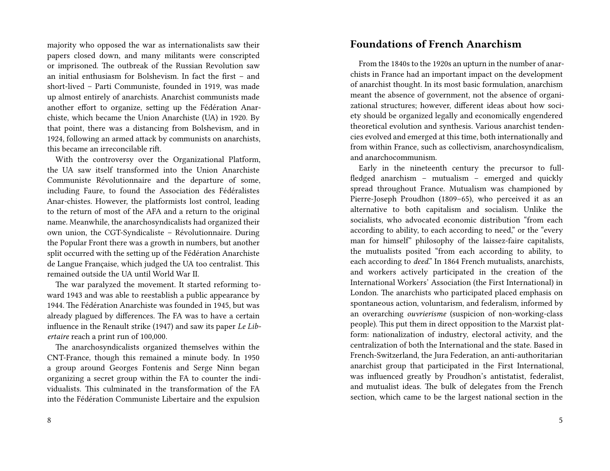majority who opposed the war as internationalists saw their papers closed down, and many militants were conscripted or imprisoned. The outbreak of the Russian Revolution saw an initial enthusiasm for Bolshevism. In fact the first – and short-lived – Parti Communiste, founded in 1919, was made up almost entirely of anarchists. Anarchist communists made another effort to organize, setting up the Fédération Anarchiste, which became the Union Anarchiste (UA) in 1920. By that point, there was a distancing from Bolshevism, and in 1924, following an armed attack by communists on anarchists, this became an irreconcilable rift.

With the controversy over the Organizational Platform, the UA saw itself transformed into the Union Anarchiste Communiste Révolutionnaire and the departure of some, including Faure, to found the Association des Fédéralistes Anar-chistes. However, the platformists lost control, leading to the return of most of the AFA and a return to the original name. Meanwhile, the anarchosyndicalists had organized their own union, the CGT-Syndicaliste – Révolutionnaire. During the Popular Front there was a growth in numbers, but another split occurred with the setting up of the Fédération Anarchiste de Langue Française, which judged the UA too centralist. This remained outside the UA until World War II.

The war paralyzed the movement. It started reforming toward 1943 and was able to reestablish a public appearance by 1944. The Fédération Anarchiste was founded in 1945, but was already plagued by differences. The FA was to have a certain influence in the Renault strike (1947) and saw its paper *Le Libertaire* reach a print run of 100,000.

The anarchosyndicalists organized themselves within the CNT-France, though this remained a minute body. In 1950 a group around Georges Fontenis and Serge Ninn began organizing a secret group within the FA to counter the individualists. This culminated in the transformation of the FA into the Fédération Communiste Libertaire and the expulsion

#### 8

#### **Foundations of French Anarchism**

From the 1840s to the 1920s an upturn in the number of anarchists in France had an important impact on the development of anarchist thought. In its most basic formulation, anarchism meant the absence of government, not the absence of organizational structures; however, different ideas about how society should be organized legally and economically engendered theoretical evolution and synthesis. Various anarchist tendencies evolved and emerged at this time, both internationally and from within France, such as collectivism, anarchosyndicalism, and anarchocommunism.

Early in the nineteenth century the precursor to fullfledged anarchism – mutualism – emerged and quickly spread throughout France. Mutualism was championed by Pierre-Joseph Proudhon (1809–65), who perceived it as an alternative to both capitalism and socialism. Unlike the socialists, who advocated economic distribution "from each according to ability, to each according to need," or the "every man for himself" philosophy of the laissez-faire capitalists, the mutualists posited "from each according to ability, to each according to *deed*." In 1864 French mutualists, anarchists, and workers actively participated in the creation of the International Workers' Association (the First International) in London. The anarchists who participated placed emphasis on spontaneous action, voluntarism, and federalism, informed by an overarching *ouvrierisme* (suspicion of non-working-class people). This put them in direct opposition to the Marxist platform: nationalization of industry, electoral activity, and the centralization of both the International and the state. Based in French-Switzerland, the Jura Federation, an anti-authoritarian anarchist group that participated in the First International, was influenced greatly by Proudhon's antistatist, federalist, and mutualist ideas. The bulk of delegates from the French section, which came to be the largest national section in the